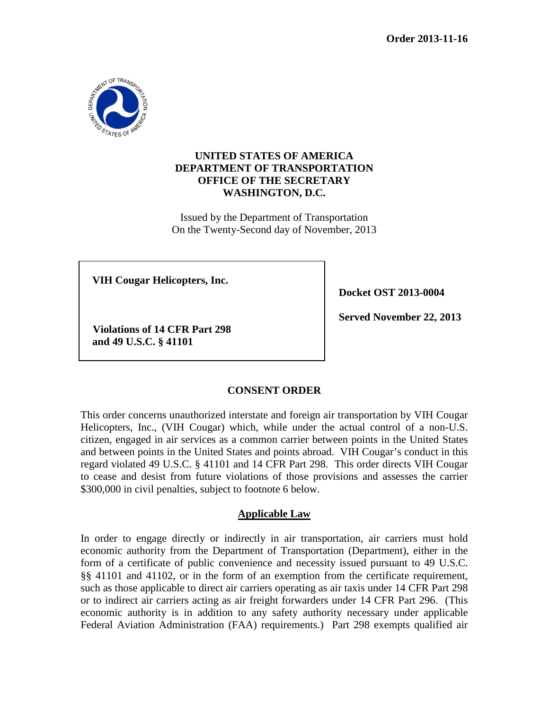

# **UNITED STATES OF AMERICA DEPARTMENT OF TRANSPORTATION OFFICE OF THE SECRETARY WASHINGTON, D.C.**

Issued by the Department of Transportation On the Twenty-Second day of November, 2013

**VIH Cougar Helicopters, Inc.**

**Docket OST 2013-0004**

**Violations of 14 CFR Part 298 and 49 U.S.C. § 41101**

**Served November 22, 2013**

# **CONSENT ORDER**

This order concerns unauthorized interstate and foreign air transportation by VIH Cougar Helicopters, Inc., (VIH Cougar) which, while under the actual control of a non-U.S. citizen, engaged in air services as a common carrier between points in the United States and between points in the United States and points abroad. VIH Cougar's conduct in this regard violated 49 U.S.C. § 41101 and 14 CFR Part 298. This order directs VIH Cougar to cease and desist from future violations of those provisions and assesses the carrier \$300,000 in civil penalties, subject to footnote 6 below.

# **Applicable Law**

In order to engage directly or indirectly in air transportation, air carriers must hold economic authority from the Department of Transportation (Department), either in the form of a certificate of public convenience and necessity issued pursuant to 49 U.S.C. §§ 41101 and 41102, or in the form of an exemption from the certificate requirement, such as those applicable to direct air carriers operating as air taxis under 14 CFR Part 298 or to indirect air carriers acting as air freight forwarders under 14 CFR Part 296. (This economic authority is in addition to any safety authority necessary under applicable Federal Aviation Administration (FAA) requirements.) Part 298 exempts qualified air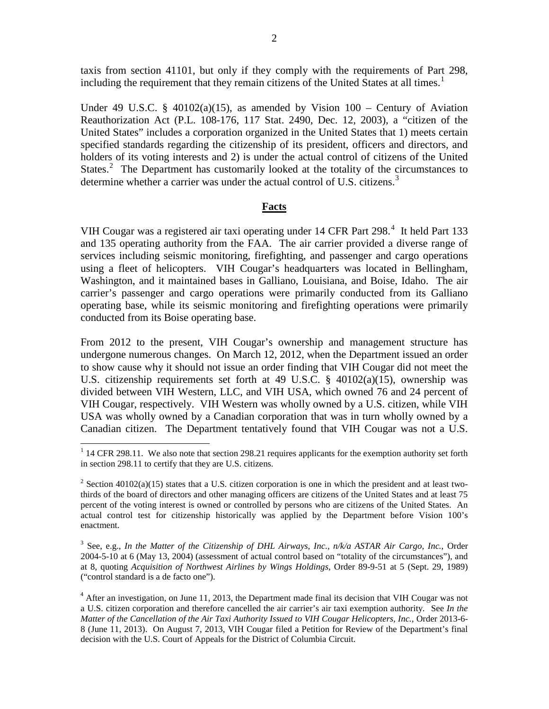taxis from section 41101, but only if they comply with the requirements of Part 298, including the requirement that they remain citizens of the United States at all times.<sup>[1](#page-1-0)</sup>

Under 49 U.S.C. § 40102(a)(15), as amended by Vision  $100 -$  Century of Aviation Reauthorization Act (P.L. 108-176, 117 Stat. 2490, Dec. 12, 2003), a "citizen of the United States" includes a corporation organized in the United States that 1) meets certain specified standards regarding the citizenship of its president, officers and directors, and holders of its voting interests and 2) is under the actual control of citizens of the United States. $2$  The Department has customarily looked at the totality of the circumstances to determine whether a carrier was under the actual control of U.S. citizens.<sup>[3](#page-1-2)</sup>

#### **Facts**

VIH Cougar was a registered air taxi operating under 1[4](#page-1-3) CFR Part 298.<sup>4</sup> It held Part 133 and 135 operating authority from the FAA. The air carrier provided a diverse range of services including seismic monitoring, firefighting, and passenger and cargo operations using a fleet of helicopters. VIH Cougar's headquarters was located in Bellingham, Washington, and it maintained bases in Galliano, Louisiana, and Boise, Idaho. The air carrier's passenger and cargo operations were primarily conducted from its Galliano operating base, while its seismic monitoring and firefighting operations were primarily conducted from its Boise operating base.

From 2012 to the present, VIH Cougar's ownership and management structure has undergone numerous changes. On March 12, 2012, when the Department issued an order to show cause why it should not issue an order finding that VIH Cougar did not meet the U.S. citizenship requirements set forth at 49 U.S.C. § 40102(a)(15), ownership was divided between VIH Western, LLC, and VIH USA, which owned 76 and 24 percent of VIH Cougar, respectively. VIH Western was wholly owned by a U.S. citizen, while VIH USA was wholly owned by a Canadian corporation that was in turn wholly owned by a Canadian citizen. The Department tentatively found that VIH Cougar was not a U.S.

<span id="page-1-0"></span><sup>&</sup>lt;sup>1</sup> 14 CFR 298.11. We also note that section 298.21 requires applicants for the exemption authority set forth in section 298.11 to certify that they are U.S. citizens.

<span id="page-1-1"></span> $2$  Section 40102(a)(15) states that a U.S. citizen corporation is one in which the president and at least twothirds of the board of directors and other managing officers are citizens of the United States and at least 75 percent of the voting interest is owned or controlled by persons who are citizens of the United States. An actual control test for citizenship historically was applied by the Department before Vision 100's enactment.

<span id="page-1-2"></span><sup>3</sup> See, e.g., *In the Matter of the Citizenship of DHL Airways, Inc., n/k/a ASTAR Air Cargo, Inc.*, Order 2004-5-10 at 6 (May 13, 2004) (assessment of actual control based on "totality of the circumstances"), and at 8, quoting *Acquisition of Northwest Airlines by Wings Holdings*, Order 89-9-51 at 5 (Sept. 29, 1989) ("control standard is a de facto one").

<span id="page-1-3"></span><sup>&</sup>lt;sup>4</sup> After an investigation, on June 11, 2013, the Department made final its decision that VIH Cougar was not a U.S. citizen corporation and therefore cancelled the air carrier's air taxi exemption authority. See *In the Matter of the Cancellation of the Air Taxi Authority Issued to VIH Cougar Helicopters, Inc.*, Order 2013-6- 8 (June 11, 2013). On August 7, 2013, VIH Cougar filed a Petition for Review of the Department's final decision with the U.S. Court of Appeals for the District of Columbia Circuit.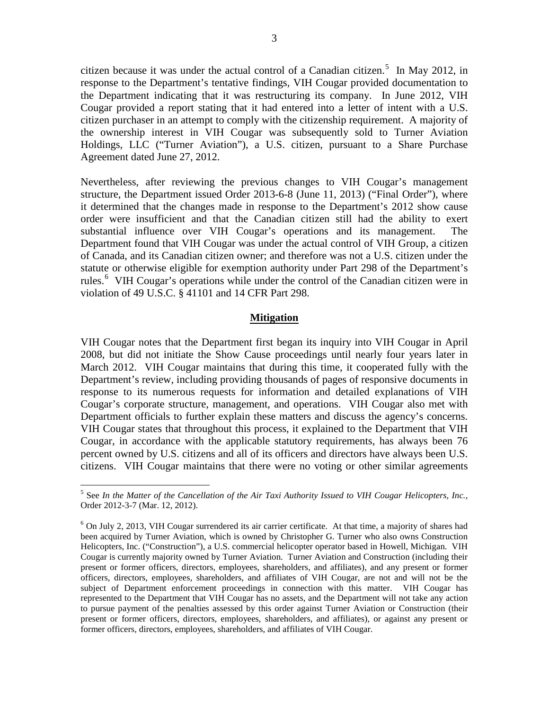citizen because it was under the actual control of a Canadian citizen.<sup>[5](#page-2-0)</sup> In May 2012, in response to the Department's tentative findings, VIH Cougar provided documentation to the Department indicating that it was restructuring its company. In June 2012, VIH Cougar provided a report stating that it had entered into a letter of intent with a U.S. citizen purchaser in an attempt to comply with the citizenship requirement. A majority of the ownership interest in VIH Cougar was subsequently sold to Turner Aviation Holdings, LLC ("Turner Aviation"), a U.S. citizen, pursuant to a Share Purchase Agreement dated June 27, 2012.

Nevertheless, after reviewing the previous changes to VIH Cougar's management structure, the Department issued Order 2013-6-8 (June 11, 2013) ("Final Order"), where it determined that the changes made in response to the Department's 2012 show cause order were insufficient and that the Canadian citizen still had the ability to exert substantial influence over VIH Cougar's operations and its management. The Department found that VIH Cougar was under the actual control of VIH Group, a citizen of Canada, and its Canadian citizen owner; and therefore was not a U.S. citizen under the statute or otherwise eligible for exemption authority under Part 298 of the Department's rules.<sup>[6](#page-2-1)</sup> VIH Cougar's operations while under the control of the Canadian citizen were in violation of 49 U.S.C. § 41101 and 14 CFR Part 298.

### **Mitigation**

VIH Cougar notes that the Department first began its inquiry into VIH Cougar in April 2008, but did not initiate the Show Cause proceedings until nearly four years later in March 2012. VIH Cougar maintains that during this time, it cooperated fully with the Department's review, including providing thousands of pages of responsive documents in response to its numerous requests for information and detailed explanations of VIH Cougar's corporate structure, management, and operations. VIH Cougar also met with Department officials to further explain these matters and discuss the agency's concerns. VIH Cougar states that throughout this process, it explained to the Department that VIH Cougar, in accordance with the applicable statutory requirements, has always been 76 percent owned by U.S. citizens and all of its officers and directors have always been U.S. citizens. VIH Cougar maintains that there were no voting or other similar agreements

<span id="page-2-0"></span><sup>5</sup> See *In the Matter of the Cancellation of the Air Taxi Authority Issued to VIH Cougar Helicopters, Inc.*, Order 2012-3-7 (Mar. 12, 2012).

<span id="page-2-1"></span> $6$  On July 2, 2013, VIH Cougar surrendered its air carrier certificate. At that time, a majority of shares had been acquired by Turner Aviation, which is owned by Christopher G. Turner who also owns Construction Helicopters, Inc. ("Construction"), a U.S. commercial helicopter operator based in Howell, Michigan. VIH Cougar is currently majority owned by Turner Aviation. Turner Aviation and Construction (including their present or former officers, directors, employees, shareholders, and affiliates), and any present or former officers, directors, employees, shareholders, and affiliates of VIH Cougar, are not and will not be the subject of Department enforcement proceedings in connection with this matter. VIH Cougar has represented to the Department that VIH Cougar has no assets, and the Department will not take any action to pursue payment of the penalties assessed by this order against Turner Aviation or Construction (their present or former officers, directors, employees, shareholders, and affiliates), or against any present or former officers, directors, employees, shareholders, and affiliates of VIH Cougar.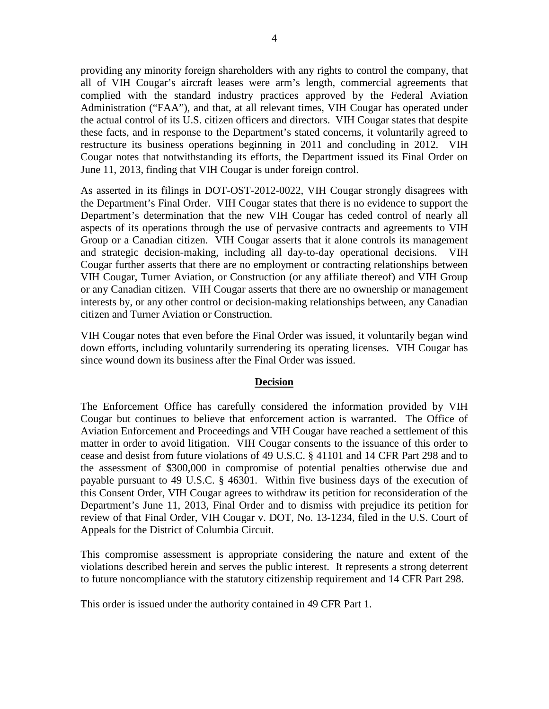providing any minority foreign shareholders with any rights to control the company, that all of VIH Cougar's aircraft leases were arm's length, commercial agreements that complied with the standard industry practices approved by the Federal Aviation Administration ("FAA"), and that, at all relevant times, VIH Cougar has operated under the actual control of its U.S. citizen officers and directors. VIH Cougar states that despite these facts, and in response to the Department's stated concerns, it voluntarily agreed to restructure its business operations beginning in 2011 and concluding in 2012. VIH Cougar notes that notwithstanding its efforts, the Department issued its Final Order on June 11, 2013, finding that VIH Cougar is under foreign control.

As asserted in its filings in DOT-OST-2012-0022, VIH Cougar strongly disagrees with the Department's Final Order. VIH Cougar states that there is no evidence to support the Department's determination that the new VIH Cougar has ceded control of nearly all aspects of its operations through the use of pervasive contracts and agreements to VIH Group or a Canadian citizen. VIH Cougar asserts that it alone controls its management and strategic decision-making, including all day-to-day operational decisions. VIH Cougar further asserts that there are no employment or contracting relationships between VIH Cougar, Turner Aviation, or Construction (or any affiliate thereof) and VIH Group or any Canadian citizen. VIH Cougar asserts that there are no ownership or management interests by, or any other control or decision-making relationships between, any Canadian citizen and Turner Aviation or Construction.

VIH Cougar notes that even before the Final Order was issued, it voluntarily began wind down efforts, including voluntarily surrendering its operating licenses. VIH Cougar has since wound down its business after the Final Order was issued.

### **Decision**

The Enforcement Office has carefully considered the information provided by VIH Cougar but continues to believe that enforcement action is warranted. The Office of Aviation Enforcement and Proceedings and VIH Cougar have reached a settlement of this matter in order to avoid litigation. VIH Cougar consents to the issuance of this order to cease and desist from future violations of 49 U.S.C. § 41101 and 14 CFR Part 298 and to the assessment of \$300,000 in compromise of potential penalties otherwise due and payable pursuant to 49 U.S.C. § 46301. Within five business days of the execution of this Consent Order, VIH Cougar agrees to withdraw its petition for reconsideration of the Department's June 11, 2013, Final Order and to dismiss with prejudice its petition for review of that Final Order, VIH Cougar v. DOT, No. 13-1234, filed in the U.S. Court of Appeals for the District of Columbia Circuit.

This compromise assessment is appropriate considering the nature and extent of the violations described herein and serves the public interest. It represents a strong deterrent to future noncompliance with the statutory citizenship requirement and 14 CFR Part 298.

This order is issued under the authority contained in 49 CFR Part 1.